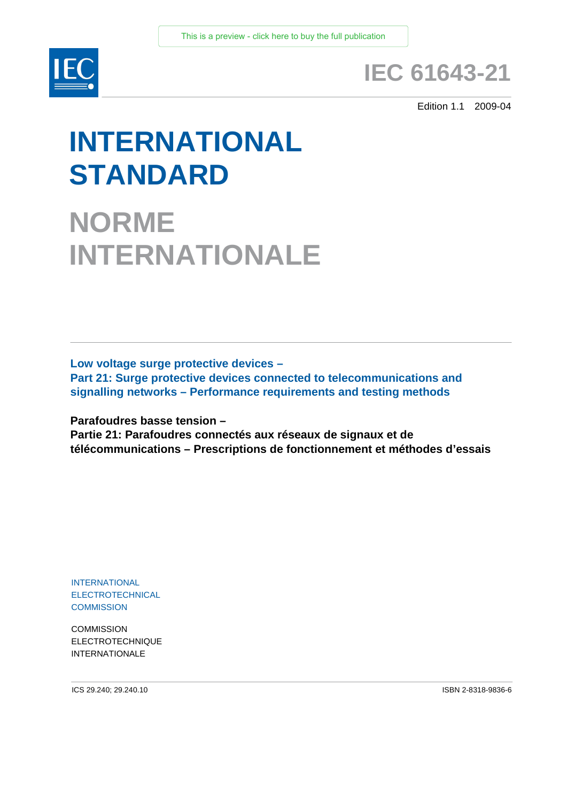

## **IEC 61643-21**

Edition 1.1 2009-04

# **INTERNATIONAL STANDARD**

**NORME INTERNATIONALE**

**Low voltage surge protective devices – Part 21: Surge protective devices connected to telecommunications and signalling networks – Performance requirements and testing methods** 

**Parafoudres basse tension –** 

**Partie 21: Parafoudres connectés aux réseaux de signaux et de télécommunications – Prescriptions de fonctionnement et méthodes d'essais** 

INTERNATIONAL ELECTROTECHNICAL **COMMISSION** 

**COMMISSION** ELECTROTECHNIQUE **INTERNATIONALE** 

ICS 29.240; 29.240.10

ISBN 2-8318-9836-6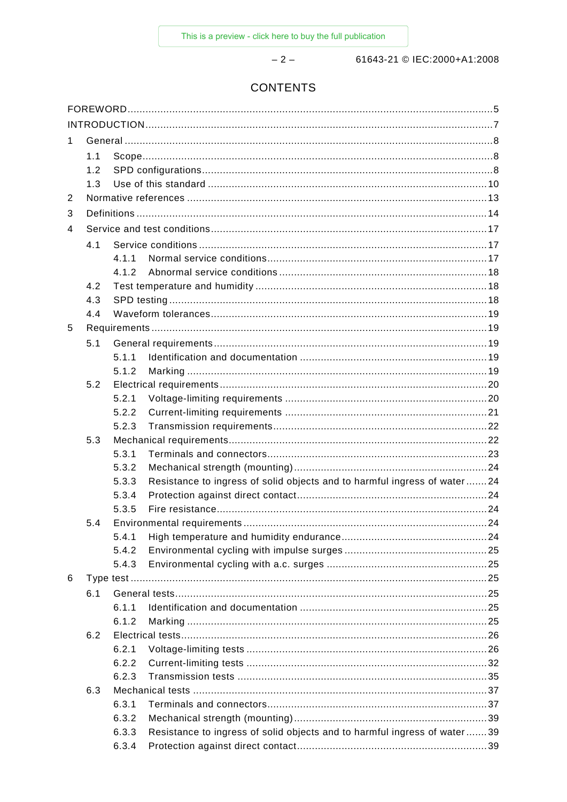$-2-$ 

## **CONTENTS**

| 1 |     |       |                                                                          |  |
|---|-----|-------|--------------------------------------------------------------------------|--|
|   | 1.1 |       |                                                                          |  |
|   | 1.2 |       |                                                                          |  |
|   | 1.3 |       |                                                                          |  |
| 2 |     |       |                                                                          |  |
| 3 |     |       |                                                                          |  |
| 4 |     |       |                                                                          |  |
|   | 4.1 |       |                                                                          |  |
|   |     |       |                                                                          |  |
|   |     | 4.1.1 |                                                                          |  |
|   |     | 4.1.2 |                                                                          |  |
|   | 4.2 |       |                                                                          |  |
|   | 4.3 |       |                                                                          |  |
|   | 4.4 |       |                                                                          |  |
| 5 |     |       |                                                                          |  |
|   | 5.1 |       |                                                                          |  |
|   |     | 511   |                                                                          |  |
|   |     | 5.1.2 |                                                                          |  |
|   | 5.2 |       |                                                                          |  |
|   |     | 5.2.1 |                                                                          |  |
|   |     | 5.2.2 |                                                                          |  |
|   |     | 5.2.3 |                                                                          |  |
|   | 5.3 |       |                                                                          |  |
|   |     | 5.3.1 |                                                                          |  |
|   |     | 5.3.2 |                                                                          |  |
|   |     | 5.3.3 | Resistance to ingress of solid objects and to harmful ingress of water24 |  |
|   |     | 5.3.4 |                                                                          |  |
|   |     | 5.3.5 |                                                                          |  |
|   | 5.4 |       |                                                                          |  |
|   |     | 5.4.1 |                                                                          |  |
|   |     | 5.4.2 |                                                                          |  |
|   |     | 5.4.3 |                                                                          |  |
| 6 |     |       |                                                                          |  |
|   | 6.1 |       |                                                                          |  |
|   |     | 6.1.1 |                                                                          |  |
|   |     | 6.1.2 |                                                                          |  |
|   | 6.2 |       |                                                                          |  |
|   |     | 6.2.1 |                                                                          |  |
|   |     | 6.2.2 |                                                                          |  |
|   |     | 6.2.3 |                                                                          |  |
|   | 6.3 |       |                                                                          |  |
|   |     | 6.3.1 |                                                                          |  |
|   |     | 6.3.2 |                                                                          |  |
|   |     | 6.3.3 | Resistance to ingress of solid objects and to harmful ingress of water39 |  |
|   |     | 6.3.4 |                                                                          |  |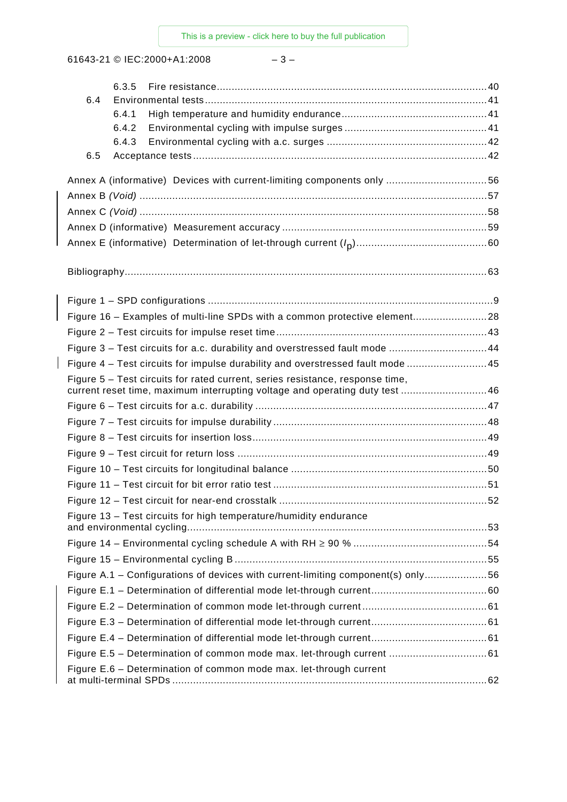61643-21 © IEC:2000+A1:2008 – 3 –

| 6.4 | 6.3.5<br>6.4.1<br>6.4.2<br>6.4.3                                                                                                                              |    |
|-----|---------------------------------------------------------------------------------------------------------------------------------------------------------------|----|
| 6.5 |                                                                                                                                                               |    |
|     | Annex A (informative) Devices with current-limiting components only 56                                                                                        |    |
|     |                                                                                                                                                               |    |
|     |                                                                                                                                                               |    |
|     |                                                                                                                                                               |    |
|     |                                                                                                                                                               |    |
|     |                                                                                                                                                               |    |
|     |                                                                                                                                                               |    |
|     | Figure 16 - Examples of multi-line SPDs with a common protective element28                                                                                    |    |
|     |                                                                                                                                                               |    |
|     | Figure 3 - Test circuits for a.c. durability and overstressed fault mode  44                                                                                  |    |
|     | Figure 4 - Test circuits for impulse durability and overstressed fault mode  45                                                                               |    |
|     | Figure 5 - Test circuits for rated current, series resistance, response time,<br>current reset time, maximum interrupting voltage and operating duty test  46 |    |
|     |                                                                                                                                                               |    |
|     |                                                                                                                                                               |    |
|     |                                                                                                                                                               |    |
|     |                                                                                                                                                               |    |
|     |                                                                                                                                                               |    |
|     |                                                                                                                                                               |    |
|     |                                                                                                                                                               | 52 |
|     | Figure 13 - Test circuits for high temperature/humidity endurance                                                                                             |    |
|     |                                                                                                                                                               |    |
|     |                                                                                                                                                               |    |
|     | Figure A.1 - Configurations of devices with current-limiting component(s) only56                                                                              |    |
|     |                                                                                                                                                               |    |
|     |                                                                                                                                                               |    |
|     |                                                                                                                                                               |    |
|     |                                                                                                                                                               |    |
|     | Figure E.5 - Determination of common mode max. let-through current  61                                                                                        |    |
|     | Figure E.6 - Determination of common mode max. let-through current                                                                                            |    |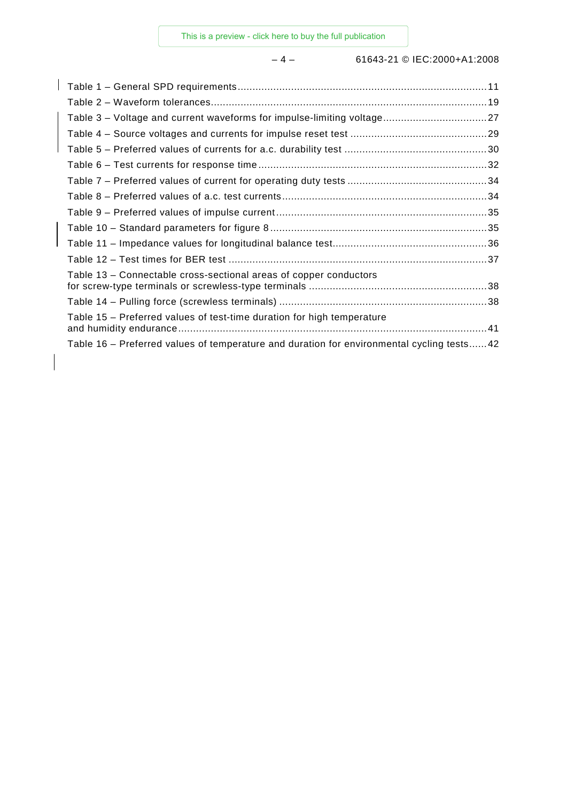– 4 – 61643-21 © IEC:2000+A1:2008

| Table 3 - Voltage and current waveforms for impulse-limiting voltage27                    |  |
|-------------------------------------------------------------------------------------------|--|
|                                                                                           |  |
|                                                                                           |  |
|                                                                                           |  |
|                                                                                           |  |
|                                                                                           |  |
|                                                                                           |  |
|                                                                                           |  |
|                                                                                           |  |
|                                                                                           |  |
| Table 13 – Connectable cross-sectional areas of copper conductors                         |  |
|                                                                                           |  |
| Table 15 – Preferred values of test-time duration for high temperature                    |  |
| Table 16 – Preferred values of temperature and duration for environmental cycling tests42 |  |

 $\overline{\phantom{a}}$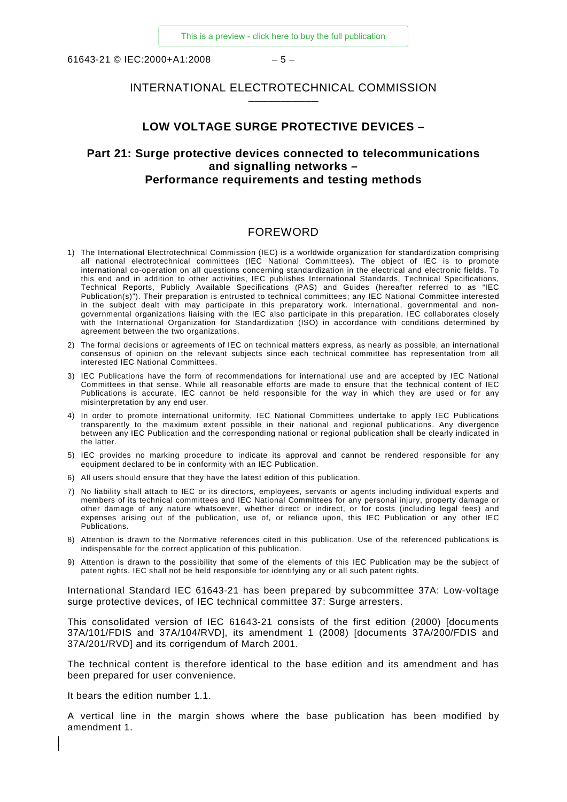<span id="page-4-0"></span>61643-21 © IEC:2000+A1:2008  $-5-$ 

#### INTERNATIONAL ELECTROTECHNICAL COMMISSION –––––––––––

#### **LOW VOLTAGE SURGE PROTECTIVE DEVICES –**

#### **Part 21: Surge protective devices connected to telecommunications and signalling networks – Performance requirements and testing methods**

#### FOREWORD

- 1) The International Electrotechnical Commission (IEC) is a worldwide organization for standardization comprising all national electrotechnical committees (IEC National Committees). The object of IEC is to promote international co-operation on all questions concerning standardization in the electrical and electronic fields. To this end and in addition to other activities, IEC publishes International Standards, Technical Specifications, Technical Reports, Publicly Available Specifications (PAS) and Guides (hereafter referred to as "IEC Publication(s)"). Their preparation is entrusted to technical committees; any IEC National Committee interested in the subject dealt with may participate in this preparatory work. International, governmental and nongovernmental organizations liaising with the IEC also participate in this preparation. IEC collaborates closely with the International Organization for Standardization (ISO) in accordance with conditions determined by agreement between the two organizations.
- 2) The formal decisions or agreements of IEC on technical matters express, as nearly as possible, an international consensus of opinion on the relevant subjects since each technical committee has representation from all interested IEC National Committees.
- 3) IEC Publications have the form of recommendations for international use and are accepted by IEC National Committees in that sense. While all reasonable efforts are made to ensure that the technical content of IEC Publications is accurate, IEC cannot be held responsible for the way in which they are used or for any misinterpretation by any end user.
- 4) In order to promote international uniformity, IEC National Committees undertake to apply IEC Publications transparently to the maximum extent possible in their national and regional publications. Any divergence between any IEC Publication and the corresponding national or regional publication shall be clearly indicated in the latter.
- 5) IEC provides no marking procedure to indicate its approval and cannot be rendered responsible for any equipment declared to be in conformity with an IEC Publication.
- 6) All users should ensure that they have the latest edition of this publication.
- 7) No liability shall attach to IEC or its directors, employees, servants or agents including individual experts and members of its technical committees and IEC National Committees for any personal injury, property damage or other damage of any nature whatsoever, whether direct or indirect, or for costs (including legal fees) and expenses arising out of the publication, use of, or reliance upon, this IEC Publication or any other IEC Publications.
- 8) Attention is drawn to the Normative references cited in this publication. Use of the referenced publications is indispensable for the correct application of this publication.
- 9) Attention is drawn to the possibility that some of the elements of this IEC Publication may be the subject of patent rights. IEC shall not be held responsible for identifying any or all such patent rights.

International Standard IEC 61643-21 has been prepared by subcommittee 37A: Low-voltage surge protective devices, of IEC technical committee 37: Surge arresters.

This consolidated version of IEC 61643-21 consists of the first edition (2000) [documents 37A/101/FDIS and 37A/104/RVD], its amendment 1 (2008) [documents 37A/200/FDIS and 37A/201/RVD] and its corrigendum of March 2001.

The technical content is therefore identical to the base edition and its amendment and has been prepared for user convenience.

It bears the edition number 1.1.

A vertical line in the margin shows where the base publication has been modified by amendment 1.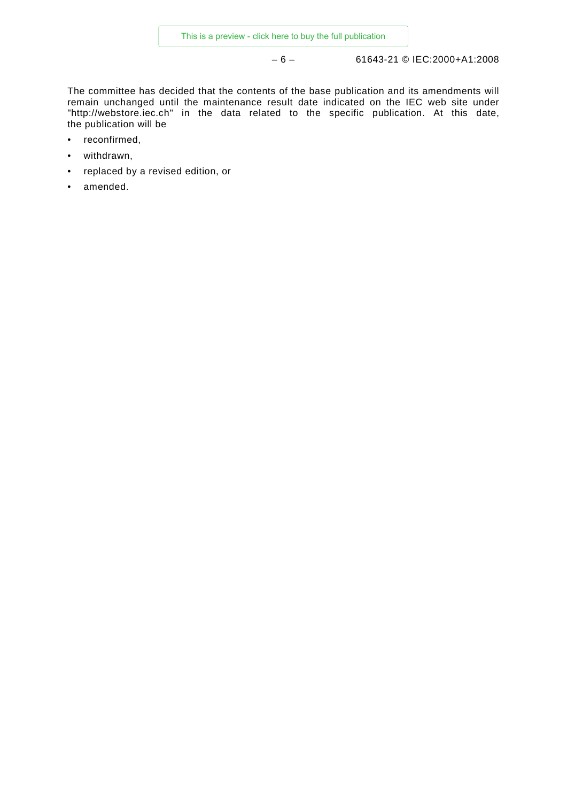– 6 – 61643-21 © IEC:2000+A1:2008

The committee has decided that the contents of the base publication and its amendments will remain unchanged until the maintenance result date indicated on the IEC web site under "http://webstore.iec.ch" in the data related to the specific publication. At this date, the publication will be

- reconfirmed,
- withdrawn,
- replaced by a revised edition, or
- amended.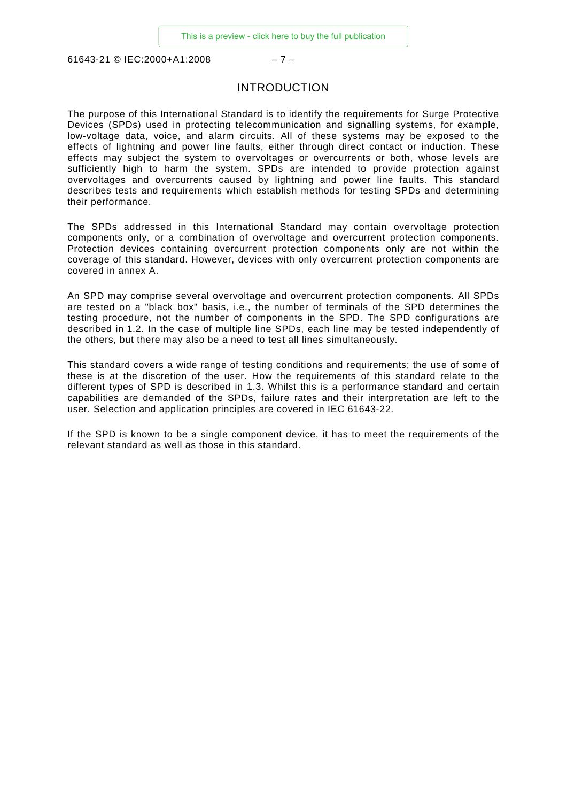<span id="page-6-0"></span> $61643-21$  © IEC:2000+A1:2008 – 7 –

#### INTRODUCTION

The purpose of this International Standard is to identify the requirements for Surge Protective Devices (SPDs) used in protecting telecommunication and signalling systems, for example, low-voltage data, voice, and alarm circuits. All of these systems may be exposed to the effects of lightning and power line faults, either through direct contact or induction. These effects may subject the system to overvoltages or overcurrents or both, whose levels are sufficiently high to harm the system. SPDs are intended to provide protection against overvoltages and overcurrents caused by lightning and power line faults. This standard describes tests and requirements which establish methods for testing SPDs and determining their performance.

The SPDs addressed in this International Standard may contain overvoltage protection components only, or a combination of overvoltage and overcurrent protection components. Protection devices containing overcurrent protection components only are not within the coverage of this standard. However, devices with only overcurrent protection components are covered in annex A.

An SPD may comprise several overvoltage and overcurrent protection components. All SPDs are tested on a "black box" basis, i.e., the number of terminals of the SPD determines the testing procedure, not the number of components in the SPD. The SPD configurations are described in 1.2. In the case of multiple line SPDs, each line may be tested independently of the others, but there may also be a need to test all lines simultaneously.

This standard covers a wide range of testing conditions and requirements; the use of some of these is at the discretion of the user. How the requirements of this standard relate to the different types of SPD is described in 1.3. Whilst this is a performance standard and certain capabilities are demanded of the SPDs, failure rates and their interpretation are left to the user. Selection and application principles are covered in IEC 61643-22.

If the SPD is known to be a single component device, it has to meet the requirements of the relevant standard as well as those in this standard.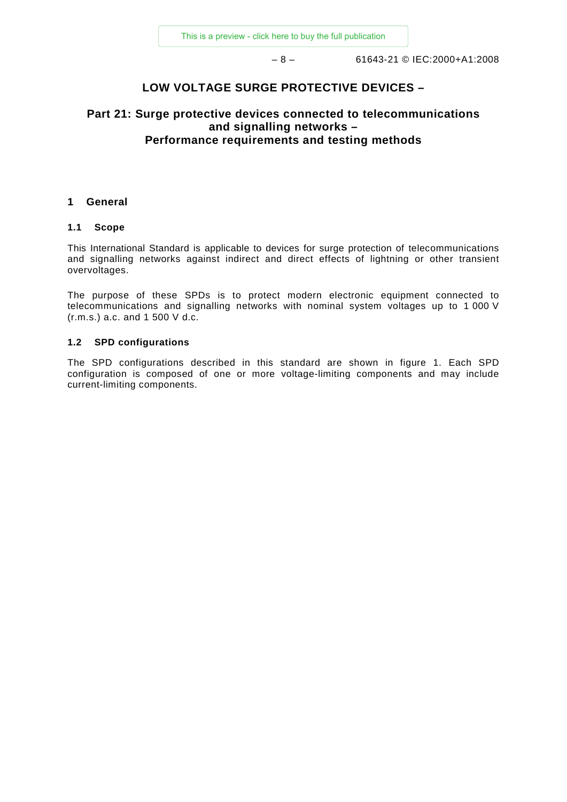– 8 – 61643-21 © IEC:2000+A1:2008

#### **LOW VOLTAGE SURGE PROTECTIVE DEVICES –**

#### <span id="page-7-0"></span>**Part 21: Surge protective devices connected to telecommunications and signalling networks – Performance requirements and testing methods**

#### **1 General**

#### **1.1 Scope**

This International Standard is applicable to devices for surge protection of telecommunications and signalling networks against indirect and direct effects of lightning or other transient overvoltages.

The purpose of these SPDs is to protect modern electronic equipment connected to telecommunications and signalling networks with nominal system voltages up to 1 000 V (r.m.s.) a.c. and 1 500 V d.c.

#### **1.2 SPD configurations**

The SPD configurations described in this standard are shown in figure 1. Each SPD configuration is composed of one or more voltage-limiting components and may include current-limiting components.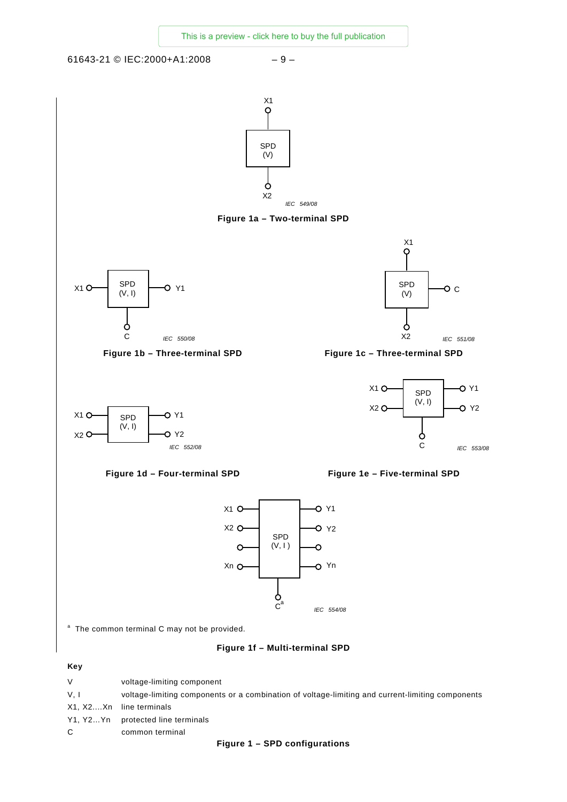<span id="page-8-0"></span>61643-21 © IEC:2000+A1:2008  $-9-$ 



| V   | voltage-limiting component                                                                       |
|-----|--------------------------------------------------------------------------------------------------|
| V.1 | voltage-limiting components or a combination of voltage-limiting and current-limiting components |
|     | X1. X2Xn line terminals                                                                          |
|     | Y1, Y2Yn protected line terminals                                                                |
| C.  | common terminal                                                                                  |

#### **Figure 1 – SPD configurations**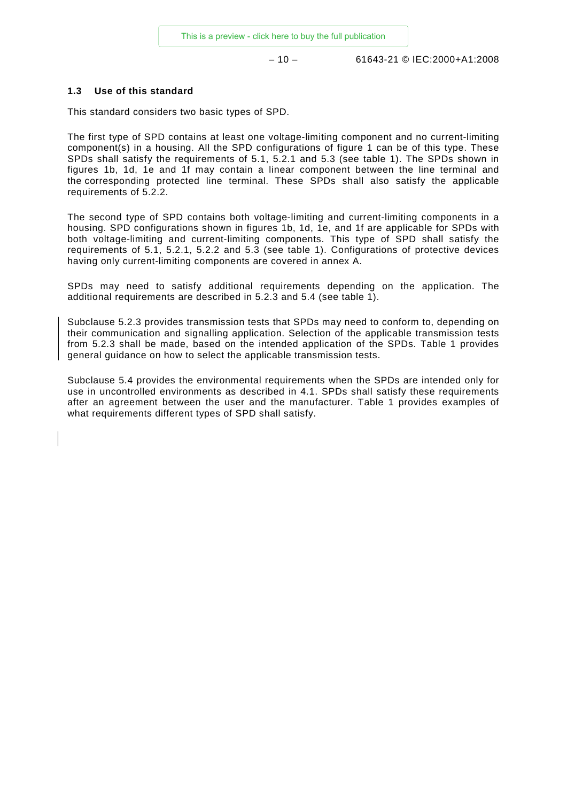$-10 - 61643-21$  © IEC:2000+A1:2008

#### <span id="page-9-0"></span>**1.3 Use of this standard**

This standard considers two basic types of SPD.

The first type of SPD contains at least one voltage-limiting component and no current-limiting component(s) in a housing. All the SPD configurations of figure 1 can be of this type. These SPDs shall satisfy the requirements of 5.1, 5.2.1 and 5.3 (see table 1). The SPDs shown in figures 1b, 1d, 1e and 1f may contain a linear component between the line terminal and the corresponding protected line terminal. These SPDs shall also satisfy the applicable requirements of 5.2.2.

The second type of SPD contains both voltage-limiting and current-limiting components in a housing. SPD configurations shown in figures 1b, 1d, 1e, and 1f are applicable for SPDs with both voltage-limiting and current-limiting components. This type of SPD shall satisfy the requirements of 5.1, 5.2.1, 5.2.2 and 5.3 (see table 1). Configurations of protective devices having only current-limiting components are covered in annex A.

SPDs may need to satisfy additional requirements depending on the application. The additional requirements are described in 5.2.3 and 5.4 (see table 1).

Subclause 5.2.3 provides transmission tests that SPDs may need to conform to, depending on their communication and signalling application. Selection of the applicable transmission tests from 5.2.3 shall be made, based on the intended application of the SPDs. Table 1 provides general guidance on how to select the applicable transmission tests.

Subclause 5.4 provides the environmental requirements when the SPDs are intended only for use in uncontrolled environments as described in 4.1. SPDs shall satisfy these requirements after an agreement between the user and the manufacturer. Table 1 provides examples of what requirements different types of SPD shall satisfy.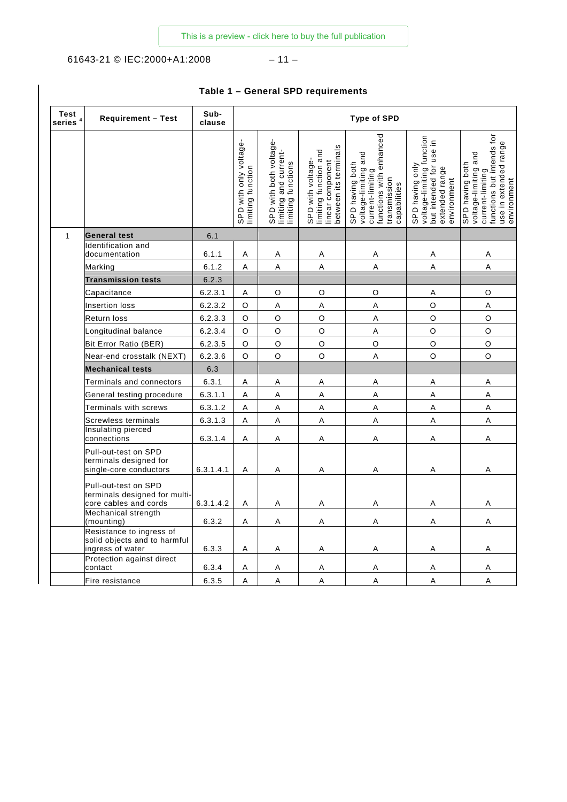<span id="page-10-0"></span>61643-21 © IEC:2000+A1:2008 – 11 –

#### **Table 1 – General SPD requirements**

| <b>Test</b><br>series $4$ | Requirement - Test                                                                                                  | Sub-<br>clause     |                                             |                                                                       |                                                                                         | <b>Type of SPD</b>                                                                                                     |                                                                                                          |                                                                                                                                  |
|---------------------------|---------------------------------------------------------------------------------------------------------------------|--------------------|---------------------------------------------|-----------------------------------------------------------------------|-----------------------------------------------------------------------------------------|------------------------------------------------------------------------------------------------------------------------|----------------------------------------------------------------------------------------------------------|----------------------------------------------------------------------------------------------------------------------------------|
|                           |                                                                                                                     |                    | SPD with only voltage-<br>limiting function | SPD with both voltage-<br>limiting and current-<br>limiting functions | between its terminals<br>limiting function and<br>SPD with voltage-<br>linear component | functions with enhanced<br>voltage-limiting and<br>SPD having both<br>current-limiting<br>transmission<br>capabilities | voltage-limiting function<br>but intended for use in<br>SPD having only<br>extended range<br>environment | functions but intends for<br>use in extended range<br>voltage-limiting and<br>SPD having both<br>current-limiting<br>environment |
| $\mathbf{1}$              | <b>General test</b>                                                                                                 | 6.1                |                                             |                                                                       |                                                                                         |                                                                                                                        |                                                                                                          |                                                                                                                                  |
|                           | Identification and<br>documentation                                                                                 | 6.1.1              | Α                                           | Α                                                                     | Α                                                                                       | Α                                                                                                                      | Α                                                                                                        | Α                                                                                                                                |
|                           | Marking                                                                                                             | 6.1.2              | Α                                           | A                                                                     | A                                                                                       | A                                                                                                                      | $\sf A$                                                                                                  | A                                                                                                                                |
|                           | <b>Transmission tests</b>                                                                                           | 6.2.3              |                                             |                                                                       |                                                                                         |                                                                                                                        |                                                                                                          |                                                                                                                                  |
|                           | Capacitance                                                                                                         | 6.2.3.1            | Α                                           | $\circ$                                                               | $\circ$                                                                                 | $\circ$                                                                                                                | Α                                                                                                        | $\circ$                                                                                                                          |
|                           | Insertion loss                                                                                                      | 6.2.3.2            | O                                           | $\sf A$                                                               | $\sf A$                                                                                 | Α                                                                                                                      | O                                                                                                        | $\mathsf A$                                                                                                                      |
|                           | Return loss                                                                                                         | 6.2.3.3            | O                                           | $\circ$                                                               | $\circ$                                                                                 | $\mathsf A$                                                                                                            | O                                                                                                        | $\circ$                                                                                                                          |
|                           | Longitudinal balance                                                                                                | 6.2.3.4            | O                                           | $\circ$                                                               | $\circ$                                                                                 | A                                                                                                                      | $\circ$                                                                                                  | $\circ$                                                                                                                          |
|                           | Bit Error Ratio (BER)                                                                                               | 6.2.3.5            | O                                           | $\circ$                                                               | $\circ$                                                                                 | O                                                                                                                      | $\circ$                                                                                                  | O                                                                                                                                |
|                           | Near-end crosstalk (NEXT)                                                                                           | 6.2.3.6            | O                                           | O                                                                     | O                                                                                       | $\mathsf A$                                                                                                            | $\Omega$                                                                                                 | O                                                                                                                                |
|                           | <b>Mechanical tests</b>                                                                                             | 6.3                |                                             |                                                                       |                                                                                         |                                                                                                                        |                                                                                                          |                                                                                                                                  |
|                           | Terminals and connectors                                                                                            | 6.3.1              | Α                                           | Α                                                                     | A                                                                                       | $\mathsf A$                                                                                                            | A                                                                                                        | $\mathsf A$                                                                                                                      |
|                           | General testing procedure                                                                                           | 6.3.1.1            | A                                           | $\mathsf A$                                                           | $\mathsf A$                                                                             | $\mathsf A$                                                                                                            | $\mathsf A$                                                                                              | $\mathsf A$                                                                                                                      |
|                           | Terminals with screws                                                                                               | 6.3.1.2            | Α                                           | $\mathsf A$                                                           | $\mathsf A$                                                                             | $\mathsf A$                                                                                                            | $\mathsf A$                                                                                              | $\mathsf A$                                                                                                                      |
|                           | <b>Screwless terminals</b>                                                                                          | 6.3.1.3            | Α                                           | Α                                                                     | $\sf A$                                                                                 | $\sf A$                                                                                                                | $\mathsf A$                                                                                              | A                                                                                                                                |
|                           | Insulating pierced<br>connections                                                                                   | 6.3.1.4            | Α                                           | Α                                                                     | Α                                                                                       | Α                                                                                                                      | Α                                                                                                        | Α                                                                                                                                |
|                           | Pull-out-test on SPD<br>terminals designed for<br>single-core conductors                                            | 6.3.1.4.1          | Α                                           | A                                                                     | A                                                                                       | Α                                                                                                                      | A                                                                                                        | A                                                                                                                                |
|                           | Pull-out-test on SPD<br>terminals designed for multi-<br>core cables and cords<br>Mechanical strength<br>(mounting) | 6.3.1.4.2<br>6.3.2 | Α<br>Α                                      | Α<br>Α                                                                | Α<br>Α                                                                                  | Α<br>Α                                                                                                                 | Α<br>Α                                                                                                   | Α<br>Α                                                                                                                           |
|                           | Resistance to ingress of<br>solid objects and to harmful<br>ingress of water                                        | 6.3.3              | Α                                           | Α                                                                     | Α                                                                                       | Α                                                                                                                      | Α                                                                                                        | Α                                                                                                                                |
|                           | Protection against direct<br>contact                                                                                | 6.3.4              | Α                                           | Α                                                                     | Α                                                                                       | A                                                                                                                      | A                                                                                                        | Α                                                                                                                                |
|                           | Fire resistance                                                                                                     | 6.3.5              | A                                           | A                                                                     | A                                                                                       | $\overline{A}$                                                                                                         | $\overline{A}$                                                                                           | A                                                                                                                                |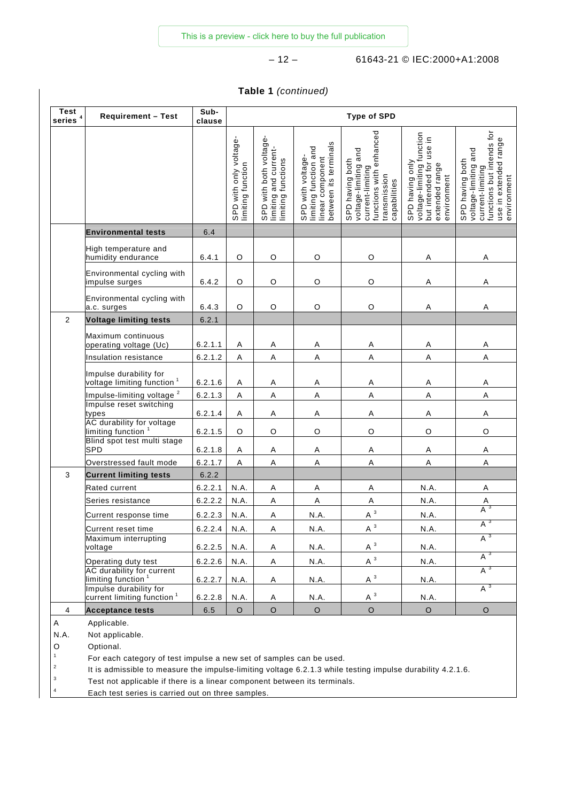## – 12 – 61643-21 © IEC:2000+A1:2008

| Table 1 (continued) |  |  |  |
|---------------------|--|--|--|
|---------------------|--|--|--|

| <b>Test</b><br>series <sup>4</sup> | <b>Requirement - Test</b>                                                                                  | Sub-<br>clause |                                             | <b>Type of SPD</b>                                                                         |                                                                                         |                                                                                                                        |                                                                                                          |                                                                                                                                  |  |  |
|------------------------------------|------------------------------------------------------------------------------------------------------------|----------------|---------------------------------------------|--------------------------------------------------------------------------------------------|-----------------------------------------------------------------------------------------|------------------------------------------------------------------------------------------------------------------------|----------------------------------------------------------------------------------------------------------|----------------------------------------------------------------------------------------------------------------------------------|--|--|
|                                    |                                                                                                            |                | SPD with only voltage-<br>limiting function | with both voltage-<br>SPD with both voltage<br>limiting and current-<br>limiting functions | between its terminals<br>SPD with voltage-<br>limiting function and<br>linear component | functions with enhanced<br>voltage-limiting and<br>SPD having both<br>current-limiting<br>transmission<br>capabilities | voltage-limiting function<br>but intended for use in<br>SPD having only<br>extended range<br>environment | current-limiting<br>functions but intends for<br>use in extended range<br>environment<br>voltage-limiting and<br>SPD having both |  |  |
|                                    | <b>Environmental tests</b>                                                                                 | 6.4            |                                             |                                                                                            |                                                                                         |                                                                                                                        |                                                                                                          |                                                                                                                                  |  |  |
|                                    | High temperature and<br>humidity endurance                                                                 | 6.4.1          | O                                           | O                                                                                          | O                                                                                       | O                                                                                                                      | Α                                                                                                        | Α                                                                                                                                |  |  |
|                                    | Environmental cycling with<br>impulse surges                                                               | 6.4.2          | O                                           | O                                                                                          | O                                                                                       | O                                                                                                                      | Α                                                                                                        | Α                                                                                                                                |  |  |
|                                    | Environmental cycling with<br>a.c. surges                                                                  | 6.4.3          | O                                           | O                                                                                          | O                                                                                       | O                                                                                                                      | Α                                                                                                        | Α                                                                                                                                |  |  |
| $\overline{2}$                     | <b>Voltage limiting tests</b>                                                                              | 6.2.1          |                                             |                                                                                            |                                                                                         |                                                                                                                        |                                                                                                          |                                                                                                                                  |  |  |
|                                    | Maximum continuous<br>operating voltage (Uc)                                                               | 6.2.1.1        | Α                                           | Α                                                                                          | Α                                                                                       | A                                                                                                                      | Α                                                                                                        | Α                                                                                                                                |  |  |
|                                    | Insulation resistance                                                                                      | 6.2.1.2        | A                                           | А                                                                                          | A                                                                                       | A                                                                                                                      | Α                                                                                                        | A                                                                                                                                |  |  |
|                                    | Impulse durability for<br>voltage limiting function 1                                                      | 6.2.1.6        | Α                                           | Α                                                                                          | Α                                                                                       | Α                                                                                                                      | Α                                                                                                        | A                                                                                                                                |  |  |
|                                    | Impulse-limiting voltage <sup>2</sup>                                                                      | 6.2.1.3        | Α                                           | A                                                                                          | Α                                                                                       | $\sf A$                                                                                                                | Α                                                                                                        | A                                                                                                                                |  |  |
|                                    | Impulse reset switching<br>types<br>AC durability for voltage                                              | 6.2.1.4        | Α                                           | $\mathsf A$                                                                                | A                                                                                       | $\mathsf A$                                                                                                            | Α                                                                                                        | A                                                                                                                                |  |  |
|                                    | limiting function <sup>1</sup>                                                                             | 6.2.1.5        | O                                           | $\circ$                                                                                    | $\circ$                                                                                 | $\circ$                                                                                                                | $\circ$                                                                                                  | $\circ$                                                                                                                          |  |  |
|                                    | Blind spot test multi stage<br><b>SPD</b>                                                                  | 6.2.1.8        | Α                                           | Α                                                                                          | Α                                                                                       | Α                                                                                                                      | Α                                                                                                        | A                                                                                                                                |  |  |
|                                    | Overstressed fault mode                                                                                    | 6.2.1.7        | Α                                           | Α                                                                                          | Α                                                                                       | $\sf A$                                                                                                                | А                                                                                                        | $\mathsf A$                                                                                                                      |  |  |
| 3                                  | <b>Current limiting tests</b>                                                                              | 6.2.2          |                                             |                                                                                            |                                                                                         |                                                                                                                        |                                                                                                          |                                                                                                                                  |  |  |
|                                    | Rated current                                                                                              | 6.2.2.1        | N.A.                                        | Α                                                                                          | Α                                                                                       | Α                                                                                                                      | N.A.                                                                                                     | Α                                                                                                                                |  |  |
|                                    | Series resistance                                                                                          | 6.2.2.2        | N.A.                                        | Α                                                                                          | Α                                                                                       | $\sf A$                                                                                                                | N.A.                                                                                                     | $\frac{A}{A^3}$                                                                                                                  |  |  |
|                                    | Current response time                                                                                      | 6.2.2.3        | N.A.                                        | Α                                                                                          | N.A.                                                                                    | $A^3$                                                                                                                  | N.A.                                                                                                     |                                                                                                                                  |  |  |
|                                    | Current reset time                                                                                         | 6.2.2.4        | N.A.                                        | $\overline{A}$                                                                             | N.A.                                                                                    | $A^3$                                                                                                                  | N.A.                                                                                                     | $A^3$                                                                                                                            |  |  |
|                                    | Maximum interrupting                                                                                       | 6.2.2.5        | N.A.                                        | Α                                                                                          | N.A.                                                                                    | $A^3$                                                                                                                  | N.A.                                                                                                     | $A^3$                                                                                                                            |  |  |
|                                    | voltage<br>Operating duty test                                                                             | 6.2.2.6        | N.A.                                        |                                                                                            | N.A.                                                                                    | $A^3$                                                                                                                  | N.A.                                                                                                     | $A^3$                                                                                                                            |  |  |
|                                    | AC durability for current<br>limiting function <sup>1</sup>                                                | 6.2.2.7        | N.A.                                        | Α<br>Α                                                                                     | N.A.                                                                                    | $A^3$                                                                                                                  | N.A.                                                                                                     | $A^3$                                                                                                                            |  |  |
|                                    | Impulse durability for<br>current limiting function <sup>1</sup>                                           | 6.2.2.8        | N.A.                                        |                                                                                            | N.A.                                                                                    | $A^3$                                                                                                                  | N.A.                                                                                                     | $A^3$                                                                                                                            |  |  |
| 4                                  | <b>Acceptance tests</b>                                                                                    | 6.5            | $\circ$                                     | A<br>$\mathsf O$                                                                           | $\mathsf O$                                                                             | $\mathsf O$                                                                                                            | $\circ$                                                                                                  | $\hbox{O}$                                                                                                                       |  |  |
| A                                  | Applicable.                                                                                                |                |                                             |                                                                                            |                                                                                         |                                                                                                                        |                                                                                                          |                                                                                                                                  |  |  |
| N.A.                               | Not applicable.                                                                                            |                |                                             |                                                                                            |                                                                                         |                                                                                                                        |                                                                                                          |                                                                                                                                  |  |  |
| O                                  | Optional.                                                                                                  |                |                                             |                                                                                            |                                                                                         |                                                                                                                        |                                                                                                          |                                                                                                                                  |  |  |
| 1                                  | For each category of test impulse a new set of samples can be used.                                        |                |                                             |                                                                                            |                                                                                         |                                                                                                                        |                                                                                                          |                                                                                                                                  |  |  |
| $\sqrt{2}$<br>$\mathbf 3$          | It is admissible to measure the impulse-limiting voltage 6.2.1.3 while testing impulse durability 4.2.1.6. |                |                                             |                                                                                            |                                                                                         |                                                                                                                        |                                                                                                          |                                                                                                                                  |  |  |
|                                    | Test not applicable if there is a linear component between its terminals.                                  |                |                                             |                                                                                            |                                                                                         |                                                                                                                        |                                                                                                          |                                                                                                                                  |  |  |

4 Each test series is carried out on three samples.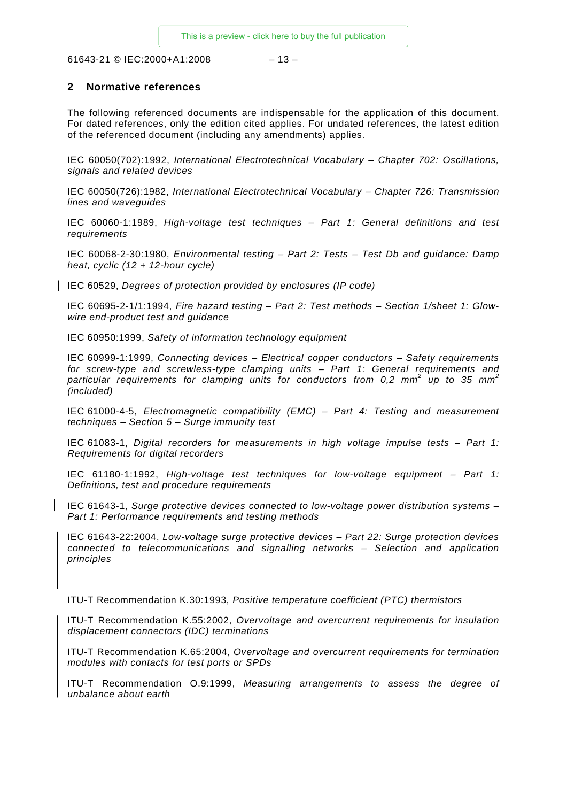<span id="page-12-0"></span> $61643-21$  © IEC:2000+A1:2008 – 13 –

#### **2 Normative references**

The following referenced documents are indispensable for the application of this document. For dated references, only the edition cited applies. For undated references, the latest edition of the referenced document (including any amendments) applies.

IEC 60050(702):1992, *International Electrotechnical Vocabulary – Chapter 702: Oscillations, signals and related devices*

IEC 60050(726):1982, *International Electrotechnical Vocabulary – Chapter 726: Transmission lines and waveguides*

IEC 60060-1:1989, *High-voltage test techniques – Part 1: General definitions and test requirements*

IEC 60068-2-30:1980, *Environmental testing – Part 2: Tests – Test Db and guidance: Damp heat, cyclic (12 + 12-hour cycle)*

IEC 60529, *Degrees of protection provided by enclosures (IP code)*

IEC 60695-2-1/1:1994, *Fire hazard testing – Part 2: Test methods – Section 1/sheet 1: Glowwire end-product test and guidance* 

IEC 60950:1999, *Safety of information technology equipment*

IEC 60999-1:1999, *Connecting devices – Electrical copper conductors – Safety requirements for screw-type and screwless-type clamping units – Part 1: General requirements and*  particular requirements for clamping units for conductors from 0,2 mm<sup>2</sup> up to 35 mm<sup>2</sup> *(included)*

IEC 61000-4-5, *Electromagnetic compatibility (EMC) – Part 4: Testing and measurement techniques – Section 5 – Surge immunity test*

IEC 61083-1, *Digital recorders for measurements in high voltage impulse tests – Part 1: Requirements for digital recorders*

IEC 61180-1:1992, *High-voltage test techniques for low-voltage equipment – Part 1: Definitions, test and procedure requirements*

IEC 61643-1, *Surge protective devices connected to low-voltage power distribution systems – Part 1: Performance requirements and testing methods* 

IEC 61643-22:2004, *Low-voltage surge protective devices – Part 22: Surge protection devices connected to telecommunications and signalling networks – Selection and application principles* 

ITU-T Recommendation K.30:1993, *Positive temperature coefficient (PTC) thermistors* 

ITU-T Recommendation K.55:2002, *Overvoltage and overcurrent requirements for insulation displacement connectors (IDC) terminations* 

ITU-T Recommendation K.65:2004, *Overvoltage and overcurrent requirements for termination modules with contacts for test ports or SPDs* 

ITU-T Recommendation O.9:1999, *Measuring arrangements to assess the degree of unbalance about earth*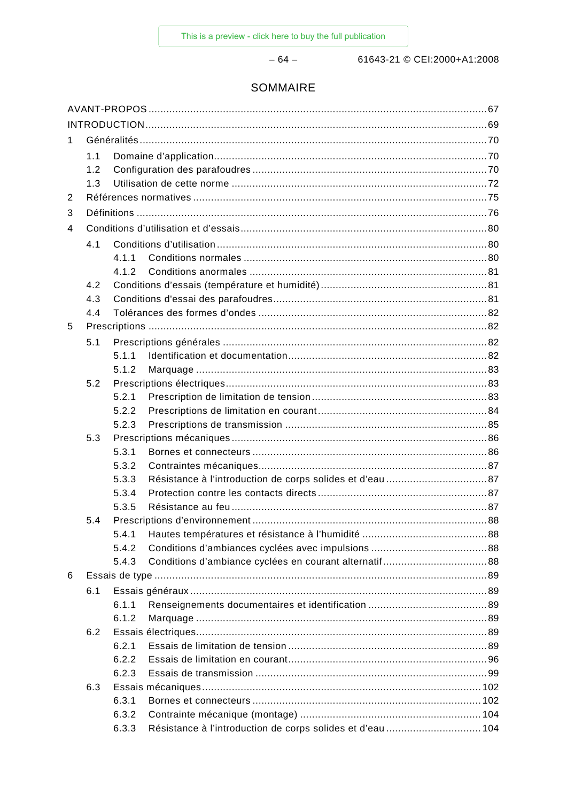$-64-$ 

61643-21 © CEI:2000+A1:2008

#### SOMMAIRE

| 1 |     |       |                                                            |  |
|---|-----|-------|------------------------------------------------------------|--|
|   | 1.1 |       |                                                            |  |
|   | 1.2 |       |                                                            |  |
|   | 1.3 |       |                                                            |  |
| 2 |     |       |                                                            |  |
| 3 |     |       |                                                            |  |
| 4 |     |       |                                                            |  |
|   | 4.1 |       |                                                            |  |
|   |     | 4.1.1 |                                                            |  |
|   |     | 4.1.2 |                                                            |  |
|   | 4.2 |       |                                                            |  |
|   | 4.3 |       |                                                            |  |
|   | 4.4 |       |                                                            |  |
| 5 |     |       |                                                            |  |
|   | 5.1 |       |                                                            |  |
|   |     | 5.1.1 |                                                            |  |
|   |     | 5.1.2 |                                                            |  |
|   | 5.2 |       |                                                            |  |
|   |     | 5.2.1 |                                                            |  |
|   |     | 5.2.2 |                                                            |  |
|   |     | 5.2.3 |                                                            |  |
|   | 5.3 |       |                                                            |  |
|   |     | 5.3.1 |                                                            |  |
|   |     | 5.3.2 |                                                            |  |
|   |     | 5.3.3 |                                                            |  |
|   |     | 5.3.4 |                                                            |  |
|   |     | 5.3.5 |                                                            |  |
|   | 5.4 |       |                                                            |  |
|   |     | 5.4.1 |                                                            |  |
|   |     | 5.4.2 |                                                            |  |
|   |     | 5.4.3 |                                                            |  |
| 6 |     |       |                                                            |  |
|   | 6.1 |       |                                                            |  |
|   |     | 6.1.1 |                                                            |  |
|   |     | 6.1.2 |                                                            |  |
|   | 6.2 |       |                                                            |  |
|   |     | 6.2.1 |                                                            |  |
|   |     | 6.2.2 |                                                            |  |
|   |     | 6.2.3 |                                                            |  |
|   | 6.3 |       |                                                            |  |
|   |     | 6.3.1 |                                                            |  |
|   |     | 6.3.2 |                                                            |  |
|   |     | 6.3.3 | Résistance à l'introduction de corps solides et d'eau  104 |  |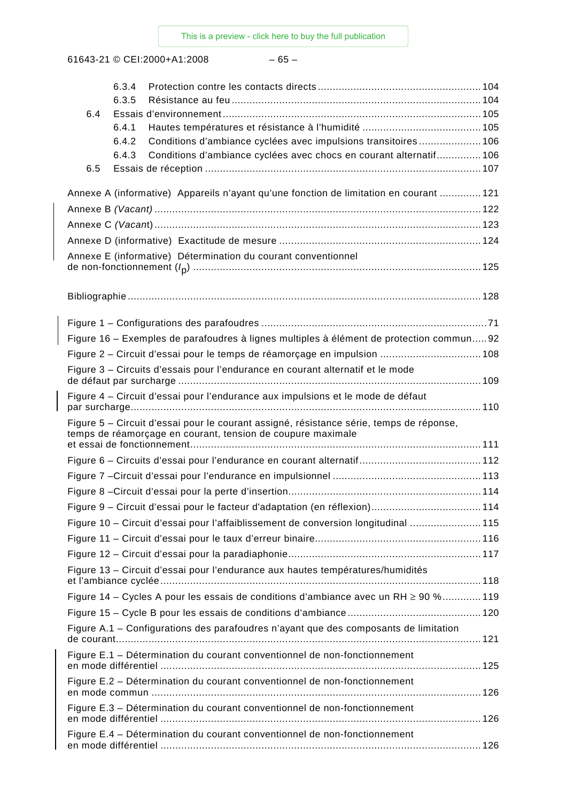|     | 61643-21 © CEI:2000+A1:2008<br>$-65-$                                                                                                                  |  |
|-----|--------------------------------------------------------------------------------------------------------------------------------------------------------|--|
|     | 6.3.4                                                                                                                                                  |  |
|     | 6.3.5                                                                                                                                                  |  |
| 6.4 |                                                                                                                                                        |  |
|     | 6.4.1                                                                                                                                                  |  |
|     | 6.4.2<br>Conditions d'ambiance cyclées avec impulsions transitoires  106                                                                               |  |
|     | Conditions d'ambiance cyclées avec chocs en courant alternatif 106<br>6.4.3                                                                            |  |
| 6.5 |                                                                                                                                                        |  |
|     | Annexe A (informative) Appareils n'ayant qu'une fonction de limitation en courant  121                                                                 |  |
|     |                                                                                                                                                        |  |
|     |                                                                                                                                                        |  |
|     |                                                                                                                                                        |  |
|     | Annexe E (informative) Détermination du courant conventionnel                                                                                          |  |
|     |                                                                                                                                                        |  |
|     |                                                                                                                                                        |  |
|     | Figure 16 - Exemples de parafoudres à lignes multiples à élément de protection commun92                                                                |  |
|     | Figure 2 – Circuit d'essai pour le temps de réamorçage en impulsion  108                                                                               |  |
|     | Figure 3 - Circuits d'essais pour l'endurance en courant alternatif et le mode                                                                         |  |
|     | Figure 4 - Circuit d'essai pour l'endurance aux impulsions et le mode de défaut                                                                        |  |
|     | Figure 5 – Circuit d'essai pour le courant assigné, résistance série, temps de réponse,<br>temps de réamorçage en courant, tension de coupure maximale |  |
|     |                                                                                                                                                        |  |
|     |                                                                                                                                                        |  |
|     |                                                                                                                                                        |  |
|     | Figure 9 - Circuit d'essai pour le facteur d'adaptation (en réflexion) 114                                                                             |  |
|     | Figure 10 - Circuit d'essai pour l'affaiblissement de conversion longitudinal  115                                                                     |  |
|     |                                                                                                                                                        |  |
|     |                                                                                                                                                        |  |
|     | Figure 13 - Circuit d'essai pour l'endurance aux hautes températures/humidités                                                                         |  |
|     | Figure 14 – Cycles A pour les essais de conditions d'ambiance avec un RH ≥ 90 %119                                                                     |  |
|     |                                                                                                                                                        |  |
|     | Figure A.1 – Configurations des parafoudres n'ayant que des composants de limitation                                                                   |  |
|     | Figure E.1 - Détermination du courant conventionnel de non-fonctionnement                                                                              |  |
|     | Figure E.2 - Détermination du courant conventionnel de non-fonctionnement                                                                              |  |
|     | Figure E.3 – Détermination du courant conventionnel de non-fonctionnement                                                                              |  |
|     | Figure E.4 - Détermination du courant conventionnel de non-fonctionnement                                                                              |  |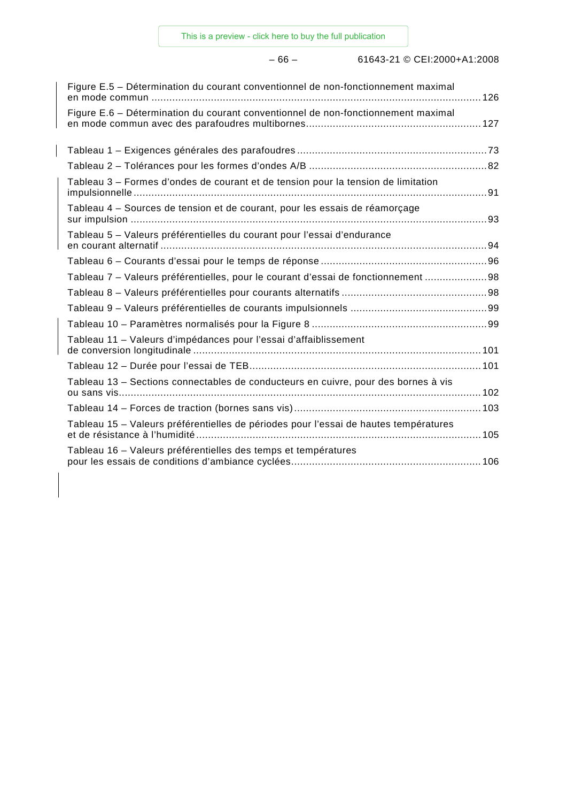– 66 – 61643-21 © CEI:2000+A1:2008

| Figure E.5 - Détermination du courant conventionnel de non-fonctionnement maximal    |  |
|--------------------------------------------------------------------------------------|--|
| Figure E.6 - Détermination du courant conventionnel de non-fonctionnement maximal    |  |
|                                                                                      |  |
|                                                                                      |  |
| Tableau 3 - Formes d'ondes de courant et de tension pour la tension de limitation    |  |
| Tableau 4 - Sources de tension et de courant, pour les essais de réamorçage          |  |
| Tableau 5 - Valeurs préférentielles du courant pour l'essai d'endurance              |  |
|                                                                                      |  |
| Tableau 7 - Valeurs préférentielles, pour le courant d'essai de fonctionnement  98   |  |
|                                                                                      |  |
|                                                                                      |  |
|                                                                                      |  |
| Tableau 11 - Valeurs d'impédances pour l'essai d'affaiblissement                     |  |
|                                                                                      |  |
| Tableau 13 - Sections connectables de conducteurs en cuivre, pour des bornes à vis   |  |
|                                                                                      |  |
| Tableau 15 – Valeurs préférentielles de périodes pour l'essai de hautes températures |  |
| Tableau 16 – Valeurs préférentielles des temps et températures                       |  |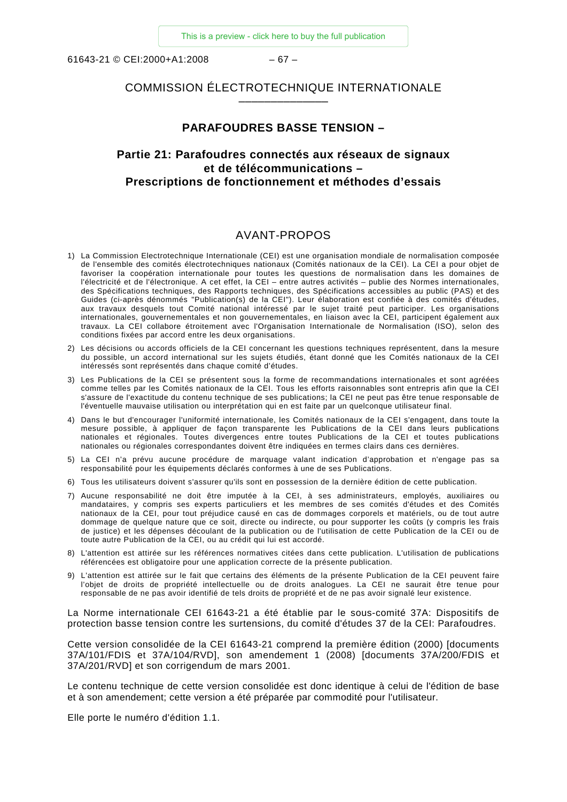<span id="page-16-0"></span> $61643-21$  © CEI:2000+A1:2008 – 67 –

#### COMMISSION ÉLECTROTECHNIQUE INTERNATIONALE ––––––––––––––

#### **PARAFOUDRES BASSE TENSION –**

#### **Partie 21: Parafoudres connectés aux réseaux de signaux et de télécommunications – Prescriptions de fonctionnement et méthodes d'essais**

#### AVANT-PROPOS

- 1) La Commission Electrotechnique Internationale (CEI) est une organisation mondiale de normalisation composée de l'ensemble des comités électrotechniques nationaux (Comités nationaux de la CEI). La CEI a pour objet de favoriser la coopération internationale pour toutes les questions de normalisation dans les domaines de l'électricité et de l'électronique. A cet effet, la CEI – entre autres activités – publie des Normes internationales, des Spécifications techniques, des Rapports techniques, des Spécifications accessibles au public (PAS) et des Guides (ci-après dénommés "Publication(s) de la CEI"). Leur élaboration est confiée à des comités d'études, aux travaux desquels tout Comité national intéressé par le sujet traité peut participer. Les organisations internationales, gouvernementales et non gouvernementales, en liaison avec la CEI, participent également aux travaux. La CEI collabore étroitement avec l'Organisation Internationale de Normalisation (ISO), selon des conditions fixées par accord entre les deux organisations.
- 2) Les décisions ou accords officiels de la CEI concernant les questions techniques représentent, dans la mesure du possible, un accord international sur les sujets étudiés, étant donné que les Comités nationaux de la CEI intéressés sont représentés dans chaque comité d'études.
- 3) Les Publications de la CEI se présentent sous la forme de recommandations internationales et sont agréées comme telles par les Comités nationaux de la CEI. Tous les efforts raisonnables sont entrepris afin que la CEI s'assure de l'exactitude du contenu technique de ses publications; la CEI ne peut pas être tenue responsable de l'éventuelle mauvaise utilisation ou interprétation qui en est faite par un quelconque utilisateur final.
- 4) Dans le but d'encourager l'uniformité internationale, les Comités nationaux de la CEI s'engagent, dans toute la mesure possible, à appliquer de façon transparente les Publications de la CEI dans leurs publications nationales et régionales. Toutes divergences entre toutes Publications de la CEI et toutes publications nationales ou régionales correspondantes doivent être indiquées en termes clairs dans ces dernières.
- 5) La CEI n'a prévu aucune procédure de marquage valant indication d'approbation et n'engage pas sa responsabilité pour les équipements déclarés conformes à une de ses Publications.
- 6) Tous les utilisateurs doivent s'assurer qu'ils sont en possession de la dernière édition de cette publication.
- 7) Aucune responsabilité ne doit être imputée à la CEI, à ses administrateurs, employés, auxiliaires ou mandataires, y compris ses experts particuliers et les membres de ses comités d'études et des Comités nationaux de la CEI, pour tout préjudice causé en cas de dommages corporels et matériels, ou de tout autre dommage de quelque nature que ce soit, directe ou indirecte, ou pour supporter les coûts (y compris les frais de justice) et les dépenses découlant de la publication ou de l'utilisation de cette Publication de la CEI ou de toute autre Publication de la CEI, ou au crédit qui lui est accordé.
- 8) L'attention est attirée sur les références normatives citées dans cette publication. L'utilisation de publications référencées est obligatoire pour une application correcte de la présente publication.
- 9) L'attention est attirée sur le fait que certains des éléments de la présente Publication de la CEI peuvent faire l'objet de droits de propriété intellectuelle ou de droits analogues. La CEI ne saurait être tenue pour responsable de ne pas avoir identifié de tels droits de propriété et de ne pas avoir signalé leur existence.

La Norme internationale CEI 61643-21 a été établie par le sous-comité 37A: Dispositifs de protection basse tension contre les surtensions, du comité d'études 37 de la CEI: Parafoudres.

Cette version consolidée de la CEI 61643-21 comprend la première édition (2000) [documents 37A/101/FDIS et 37A/104/RVD], son amendement 1 (2008) [documents 37A/200/FDIS et 37A/201/RVD] et son corrigendum de mars 2001.

Le contenu technique de cette version consolidée est donc identique à celui de l'édition de base et à son amendement; cette version a été préparée par commodité pour l'utilisateur.

Elle porte le numéro d'édition 1.1.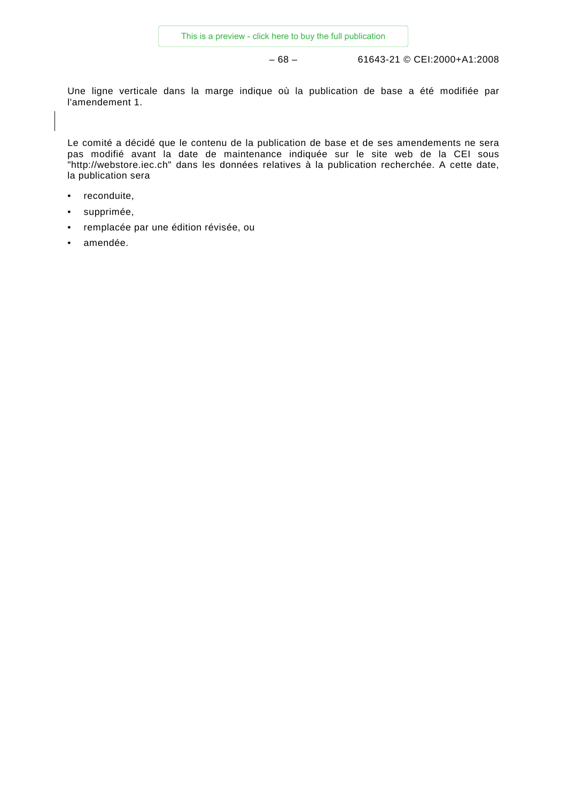– 68 – 61643-21 © CEI:2000+A1:2008

Une ligne verticale dans la marge indique où la publication de base a été modifiée par l'amendement 1.

Le comité a décidé que le contenu de la publication de base et de ses amendements ne sera pas modifié avant la date de maintenance indiquée sur le site web de la CEI sous "http://webstore.iec.ch" dans les données relatives à la publication recherchée. A cette date, la publication sera

- reconduite,
- supprimée,
- remplacée par une édition révisée, ou
- amendée.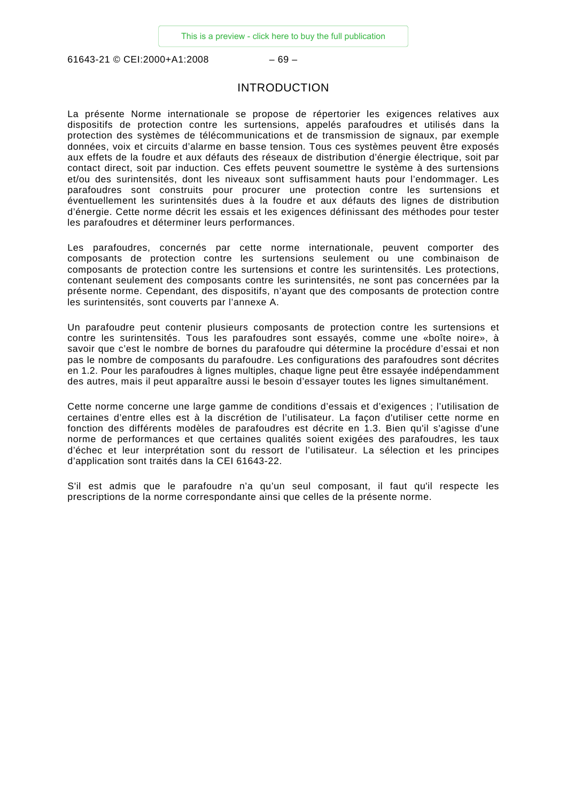<span id="page-18-0"></span> $61643-21$  © CEI:2000+A1:2008 – 69 –

#### INTRODUCTION

La présente Norme internationale se propose de répertorier les exigences relatives aux dispositifs de protection contre les surtensions, appelés parafoudres et utilisés dans la protection des systèmes de télécommunications et de transmission de signaux, par exemple données, voix et circuits d'alarme en basse tension. Tous ces systèmes peuvent être exposés aux effets de la foudre et aux défauts des réseaux de distribution d'énergie électrique, soit par contact direct, soit par induction. Ces effets peuvent soumettre le système à des surtensions et/ou des surintensités, dont les niveaux sont suffisamment hauts pour l'endommager. Les parafoudres sont construits pour procurer une protection contre les surtensions et éventuellement les surintensités dues à la foudre et aux défauts des lignes de distribution d'énergie. Cette norme décrit les essais et les exigences définissant des méthodes pour tester les parafoudres et déterminer leurs performances.

Les parafoudres, concernés par cette norme internationale, peuvent comporter des composants de protection contre les surtensions seulement ou une combinaison de composants de protection contre les surtensions et contre les surintensités. Les protections, contenant seulement des composants contre les surintensités, ne sont pas concernées par la présente norme. Cependant, des dispositifs, n'ayant que des composants de protection contre les surintensités, sont couverts par l'annexe A.

Un parafoudre peut contenir plusieurs composants de protection contre les surtensions et contre les surintensités. Tous les parafoudres sont essayés, comme une «boîte noire», à savoir que c'est le nombre de bornes du parafoudre qui détermine la procédure d'essai et non pas le nombre de composants du parafoudre. Les configurations des parafoudres sont décrites en 1.2. Pour les parafoudres à lignes multiples, chaque ligne peut être essayée indépendamment des autres, mais il peut apparaître aussi le besoin d'essayer toutes les lignes simultanément.

Cette norme concerne une large gamme de conditions d'essais et d'exigences ; l'utilisation de certaines d'entre elles est à la discrétion de l'utilisateur. La façon d'utiliser cette norme en fonction des différents modèles de parafoudres est décrite en 1.3. Bien qu'il s'agisse d'une norme de performances et que certaines qualités soient exigées des parafoudres, les taux d'échec et leur interprétation sont du ressort de l'utilisateur. La sélection et les principes d'application sont traités dans la CEI 61643-22.

S'il est admis que le parafoudre n'a qu'un seul composant, il faut qu'il respecte les prescriptions de la norme correspondante ainsi que celles de la présente norme.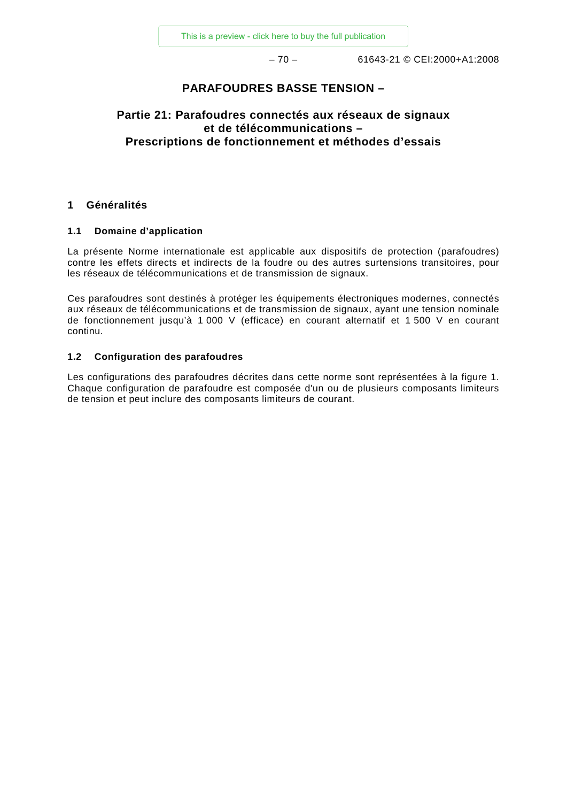$-70 - 61643 - 21 \odot \text{CE}$  : 2000+A1:2008

#### **PARAFOUDRES BASSE TENSION –**

#### <span id="page-19-0"></span>**Partie 21: Parafoudres connectés aux réseaux de signaux et de télécommunications – Prescriptions de fonctionnement et méthodes d'essais**

#### **1 Généralités**

#### **1.1 Domaine d'application**

La présente Norme internationale est applicable aux dispositifs de protection (parafoudres) contre les effets directs et indirects de la foudre ou des autres surtensions transitoires, pour les réseaux de télécommunications et de transmission de signaux.

Ces parafoudres sont destinés à protéger les équipements électroniques modernes, connectés aux réseaux de télécommunications et de transmission de signaux, ayant une tension nominale de fonctionnement jusqu'à 1 000 V (efficace) en courant alternatif et 1 500 V en courant continu.

#### **1.2 Configuration des parafoudres**

Les configurations des parafoudres décrites dans cette norme sont représentées à la figure 1. Chaque configuration de parafoudre est composée d'un ou de plusieurs composants limiteurs de tension et peut inclure des composants limiteurs de courant.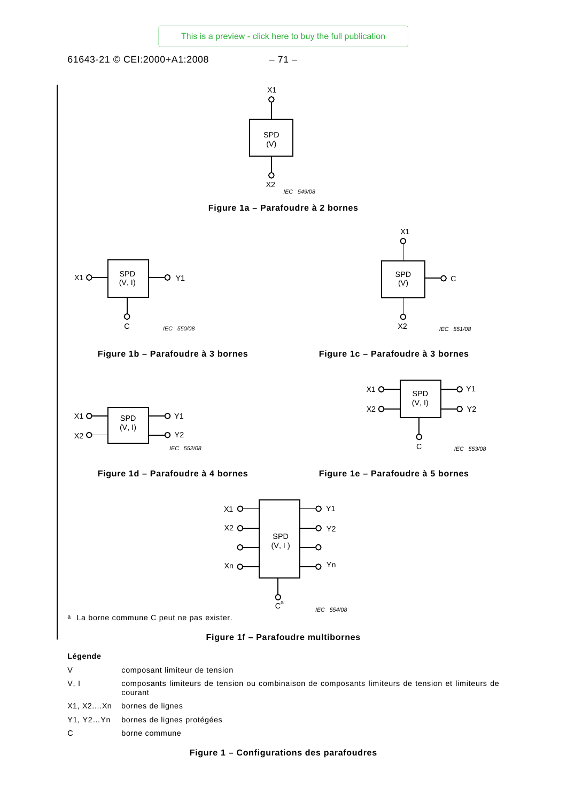<span id="page-20-0"></span>61643-21 © CEI:2000+A1:2008 – 71 –











SPD (V, I)  $X10$  on  $\overline{\phantom{0}}$  o  $Y1$ 

X2 Y2

C

 $\varphi$ 

*IEC 553/08* 



Figure 1d – Parafoudre à 4 bornes Figure 1e – Parafoudre à 5 bornes



a La borne commune C peut ne pas exister.

**Figure 1f – Parafoudre multibornes** 

#### **Légende**

| V    | composant limiteur de tension                                                                                |
|------|--------------------------------------------------------------------------------------------------------------|
| V, I | composants limiteurs de tension ou combinaison de composants limiteurs de tension et limiteurs de<br>courant |
|      | X1, X2Xn bornes de lignes                                                                                    |
|      | Y1, Y2Yn bornes de lignes protégées                                                                          |
| C    | borne commune                                                                                                |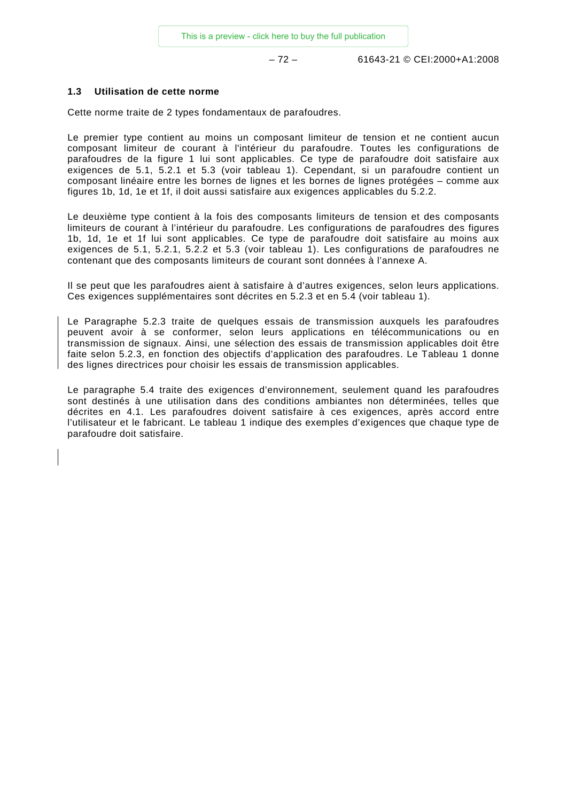– 72 – 61643-21 © CEI:2000+A1:2008

#### <span id="page-21-0"></span>**1.3 Utilisation de cette norme**

Cette norme traite de 2 types fondamentaux de parafoudres.

Le premier type contient au moins un composant limiteur de tension et ne contient aucun composant limiteur de courant à l'intérieur du parafoudre. Toutes les configurations de parafoudres de la figure 1 lui sont applicables. Ce type de parafoudre doit satisfaire aux exigences de 5.1, 5.2.1 et 5.3 (voir tableau 1). Cependant, si un parafoudre contient un composant linéaire entre les bornes de lignes et les bornes de lignes protégées – comme aux figures 1b, 1d, 1e et 1f, il doit aussi satisfaire aux exigences applicables du 5.2.2.

Le deuxième type contient à la fois des composants limiteurs de tension et des composants limiteurs de courant à l'intérieur du parafoudre. Les configurations de parafoudres des figures 1b, 1d, 1e et 1f lui sont applicables. Ce type de parafoudre doit satisfaire au moins aux exigences de 5.1, 5.2.1, 5.2.2 et 5.3 (voir tableau 1). Les configurations de parafoudres ne contenant que des composants limiteurs de courant sont données à l'annexe A.

Il se peut que les parafoudres aient à satisfaire à d'autres exigences, selon leurs applications. Ces exigences supplémentaires sont décrites en 5.2.3 et en 5.4 (voir tableau 1).

Le Paragraphe 5.2.3 traite de quelques essais de transmission auxquels les parafoudres peuvent avoir à se conformer, selon leurs applications en télécommunications ou en transmission de signaux. Ainsi, une sélection des essais de transmission applicables doit être faite selon 5.2.3, en fonction des objectifs d'application des parafoudres. Le Tableau 1 donne des lignes directrices pour choisir les essais de transmission applicables.

Le paragraphe 5.4 traite des exigences d'environnement, seulement quand les parafoudres sont destinés à une utilisation dans des conditions ambiantes non déterminées, telles que décrites en 4.1. Les parafoudres doivent satisfaire à ces exigences, après accord entre l'utilisateur et le fabricant. Le tableau 1 indique des exemples d'exigences que chaque type de parafoudre doit satisfaire.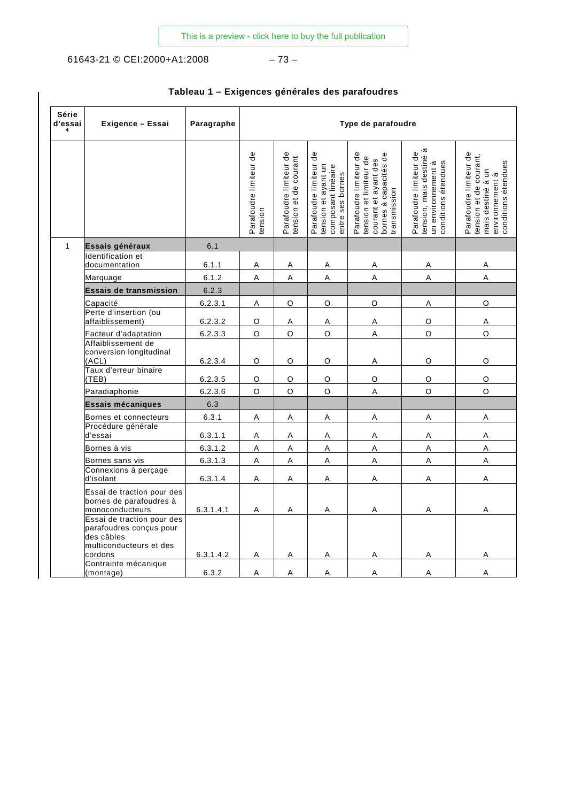<span id="page-22-0"></span>61643-21 © CEI:2000+A1:2008 – 73 –

| Série<br>d'essai | Exigence - Essai                                                                               | Paragraphe | Type de parafoudre                |                                                 |                                                                                                                     |                                                                                                                   |                                                                                                |                                                                                                                 |
|------------------|------------------------------------------------------------------------------------------------|------------|-----------------------------------|-------------------------------------------------|---------------------------------------------------------------------------------------------------------------------|-------------------------------------------------------------------------------------------------------------------|------------------------------------------------------------------------------------------------|-----------------------------------------------------------------------------------------------------------------|
|                  |                                                                                                |            | Parafoudre limiteur de<br>tension | Parafoudre limiteur de<br>tension et de courant | $\frac{\text{e}}{\text{d}}$<br>Parafoudre limiteur<br>tension et ayant un<br>composant linéaire<br>entre ses bornes | Parafoudre limiteur de<br>courant et ayant des<br>bornes à capacités de<br>tension et limiteur de<br>transmission | tension, mais destiné à<br>Parafoudre limiteur de<br>conditions étendues<br>un environnement à | Parafoudre limiteur de<br>tension et de courant,<br>conditions étendues<br>mais destiné à un<br>environnement à |
| $\mathbf{1}$     | Essais généraux                                                                                | 6.1        |                                   |                                                 |                                                                                                                     |                                                                                                                   |                                                                                                |                                                                                                                 |
|                  | Identification et<br>documentation                                                             | 6.1.1      | Α                                 | Α                                               | Α                                                                                                                   | Α                                                                                                                 | Α                                                                                              | Α                                                                                                               |
|                  | Marquage                                                                                       | 6.1.2      | Α                                 | A                                               | $\sf A$                                                                                                             | A                                                                                                                 | Α                                                                                              | A                                                                                                               |
|                  | <b>Essais de transmission</b>                                                                  | 6.2.3      |                                   |                                                 |                                                                                                                     |                                                                                                                   |                                                                                                |                                                                                                                 |
|                  | Capacité                                                                                       | 6.2.3.1    | Α                                 | $\circ$                                         | $\circ$                                                                                                             | $\circ$                                                                                                           | Α                                                                                              | $\circ$                                                                                                         |
|                  | Perte d'insertion (ou<br>affaiblissement)                                                      | 6.2.3.2    | O                                 | Α                                               | Α                                                                                                                   | Α                                                                                                                 | O                                                                                              | Α                                                                                                               |
|                  | Facteur d'adaptation                                                                           | 6.2.3.3    | O                                 | $\circ$                                         | $\circ$                                                                                                             | A                                                                                                                 | O                                                                                              | $\circ$                                                                                                         |
|                  | Affaiblissement de<br>conversion longitudinal<br>(ACL)                                         | 6.2.3.4    | O                                 | O                                               | O                                                                                                                   | $\mathsf A$                                                                                                       | O                                                                                              | $\mathsf O$                                                                                                     |
|                  | Taux d'erreur binaire<br>TEB)                                                                  | 6.2.3.5    | O                                 | O                                               | O                                                                                                                   | $\circ$                                                                                                           | O                                                                                              | O                                                                                                               |
|                  | Paradiaphonie                                                                                  | 6.2.3.6    | O                                 | $\circ$                                         | $\circ$                                                                                                             | A                                                                                                                 | $\circ$                                                                                        | O                                                                                                               |
|                  | Essais mécaniques                                                                              | 6.3        |                                   |                                                 |                                                                                                                     |                                                                                                                   |                                                                                                |                                                                                                                 |
|                  | Bornes et connecteurs                                                                          | 6.3.1      | Α                                 | Α                                               | Α                                                                                                                   | A                                                                                                                 | $\mathsf A$                                                                                    | A                                                                                                               |
|                  | Procédure générale<br>d'essai                                                                  | 6.3.1.1    | Α                                 | Α                                               | Α                                                                                                                   | Α                                                                                                                 | Α                                                                                              | Α                                                                                                               |
|                  | Bornes à vis                                                                                   | 6.3.1.2    | Α                                 | A                                               | A                                                                                                                   | A                                                                                                                 | $\mathsf A$                                                                                    | A                                                                                                               |
|                  | Bornes sans vis                                                                                | 6.3.1.3    | Α                                 | $\overline{A}$                                  | A                                                                                                                   | A                                                                                                                 | A                                                                                              | A                                                                                                               |
|                  | Connexions à perçage<br>d'isolant                                                              | 6.3.1.4    | Α                                 | Α                                               | Α                                                                                                                   | $\mathsf A$                                                                                                       | A                                                                                              | A                                                                                                               |
|                  | Essai de traction pour des<br>bornes de parafoudres à<br>monoconducteurs                       | 6.3.1.4.1  | Α                                 | Α                                               | Α                                                                                                                   | A                                                                                                                 | Α                                                                                              | A                                                                                                               |
|                  | Essai de traction pour des<br>parafoudres conçus pour<br>des câbles<br>multiconducteurs et des |            |                                   |                                                 |                                                                                                                     |                                                                                                                   |                                                                                                |                                                                                                                 |
|                  | cordons                                                                                        | 6.3.1.4.2  | Α                                 | Α                                               | A                                                                                                                   | Α                                                                                                                 | A                                                                                              | Α                                                                                                               |
|                  | Contrainte mécanique<br>(montage)                                                              | 6.3.2      | Α                                 | Α                                               | Α                                                                                                                   | Α                                                                                                                 | $\mathsf A$                                                                                    | Α                                                                                                               |

#### **Tableau 1 – Exigences générales des parafoudres**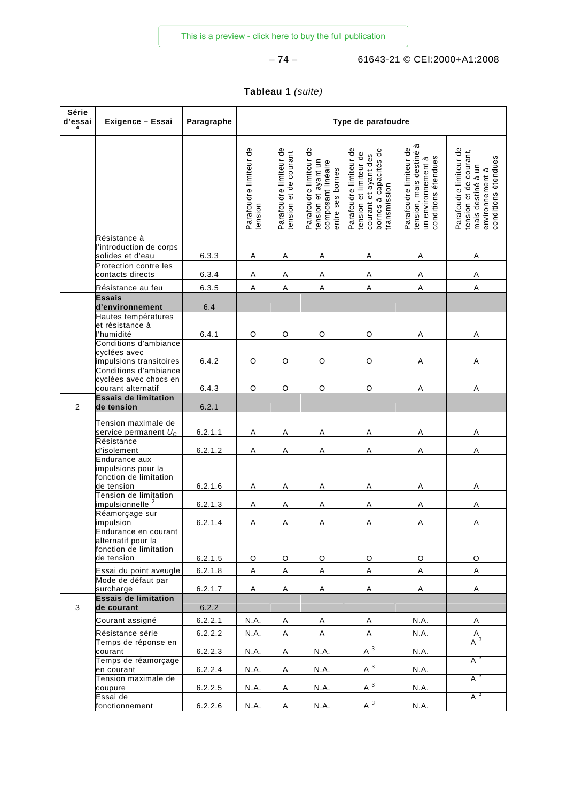#### – 74 – 61643-21 © CEI:2000+A1:2008

**Tableau 1** *(suite)*

| Série<br>d'essai | Exigence - Essai                                                                   | Paragraphe         | Type de parafoudre                |                                                 |                                                                                         |                                                                                                                   |                                                                                                |                                                                                                                 |
|------------------|------------------------------------------------------------------------------------|--------------------|-----------------------------------|-------------------------------------------------|-----------------------------------------------------------------------------------------|-------------------------------------------------------------------------------------------------------------------|------------------------------------------------------------------------------------------------|-----------------------------------------------------------------------------------------------------------------|
|                  |                                                                                    |                    | Parafoudre limiteur de<br>tension | Parafoudre limiteur de<br>tension et de courant | Parafoudre limiteur de<br>tension et ayant un<br>composant linéaire<br>entre ses bornes | Parafoudre limiteur de<br>bornes à capacités de<br>tension et limiteur de<br>courant et ayant des<br>transmission | tension, mais destiné à<br>Parafoudre limiteur de<br>conditions étendues<br>un environnement à | Parafoudre limiteur de<br>tension et de courant,<br>conditions étendues<br>mais destiné à un<br>environnement à |
|                  | Résistance à<br>l'introduction de corps<br>solides et d'eau                        | 6.3.3              | Α                                 | Α                                               | Α                                                                                       | Α                                                                                                                 | A                                                                                              | Α                                                                                                               |
|                  | Protection contre les<br>contacts directs                                          | 6.3.4              | Α                                 | Α                                               | Α                                                                                       | Α                                                                                                                 | Α                                                                                              | Α                                                                                                               |
|                  | Résistance au feu                                                                  | 6.3.5              | Α                                 | Α                                               | Α                                                                                       | A                                                                                                                 | A                                                                                              | A                                                                                                               |
|                  | <b>Essais</b><br>d'environnement                                                   | 6.4                |                                   |                                                 |                                                                                         |                                                                                                                   |                                                                                                |                                                                                                                 |
|                  | Hautes températures<br>et résistance à<br>l'humidité                               | 6.4.1              | O                                 | O                                               | O                                                                                       | O                                                                                                                 | Α                                                                                              | Α                                                                                                               |
|                  | Conditions d'ambiance<br>cyclées avec                                              |                    |                                   |                                                 |                                                                                         |                                                                                                                   |                                                                                                |                                                                                                                 |
|                  | impulsions transitoires<br>Conditions d'ambiance<br>cyclées avec chocs en          | 6.4.2              | $\circ$                           | $\circ$                                         | O                                                                                       | O                                                                                                                 | Α                                                                                              | Α                                                                                                               |
|                  | courant alternatif                                                                 | 6.4.3              | O                                 | O                                               | O                                                                                       | O                                                                                                                 | Α                                                                                              | Α                                                                                                               |
| 2                | <b>Essais de limitation</b><br>de tension                                          | 6.2.1              |                                   |                                                 |                                                                                         |                                                                                                                   |                                                                                                |                                                                                                                 |
|                  | Tension maximale de<br>service permanent $U_C$                                     | 6.2.1.1            | A                                 | Α                                               | Α                                                                                       | A                                                                                                                 | A                                                                                              | Α                                                                                                               |
|                  | Résistance<br>d'isolement                                                          | 6.2.1.2            | Α                                 | Α                                               | Α                                                                                       | А                                                                                                                 | A                                                                                              | Α                                                                                                               |
|                  | Endurance aux<br>impulsions pour la<br>fonction de limitation<br>de tension        | 6.2.1.6            | Α                                 | Α                                               | Α                                                                                       | Α                                                                                                                 | Α                                                                                              | A                                                                                                               |
|                  | Tension de limitation                                                              |                    |                                   |                                                 |                                                                                         |                                                                                                                   |                                                                                                |                                                                                                                 |
|                  | impulsionnelle <sup>2</sup><br>Réamorçage sur<br>impulsion                         | 6.2.1.3<br>6.2.1.4 | Α<br>Α                            | Α<br>Α                                          | Α<br>Α                                                                                  | Α<br>Α                                                                                                            | Α<br>Α                                                                                         | Α<br>Α                                                                                                          |
|                  | Endurance en courant<br>alternatif pour la<br>fonction de limitation<br>de tension | 6.2.1.5            | $\mathsf O$                       | $\circ$                                         | O                                                                                       | O                                                                                                                 | $\circ$                                                                                        | $\circ$                                                                                                         |
|                  | Essai du point aveugle                                                             | 6.2.1.8            | Α                                 | A                                               | A                                                                                       | A                                                                                                                 | A                                                                                              | A                                                                                                               |
|                  | Mode de défaut par<br>surcharge                                                    | 6.2.1.7            | A                                 | Α                                               | Α                                                                                       | Α                                                                                                                 | Α                                                                                              | Α                                                                                                               |
| 3                | <b>Essais de limitation</b><br>de courant                                          | 6.2.2              |                                   |                                                 |                                                                                         |                                                                                                                   |                                                                                                |                                                                                                                 |
|                  | Courant assigné                                                                    | 6.2.2.1            | N.A.                              | Α                                               | A                                                                                       | A                                                                                                                 | N.A.                                                                                           | A                                                                                                               |
|                  | Résistance série                                                                   | 6.2.2.2            | N.A.                              | A                                               | A                                                                                       | A                                                                                                                 | N.A.                                                                                           | $\frac{A}{A^3}$                                                                                                 |
|                  | Temps de réponse en<br>courant<br>Temps de réamorçage                              | 6.2.2.3            | N.A.                              | A                                               | N.A.                                                                                    | $A^3$                                                                                                             | N.A.                                                                                           | $A^3$                                                                                                           |
|                  | en courant                                                                         | 6.2.2.4            | N.A.                              | A                                               | N.A.                                                                                    | $A^3$                                                                                                             | N.A.                                                                                           |                                                                                                                 |
|                  | Tension maximale de<br>coupure                                                     | 6.2.2.5            | N.A.                              | A                                               | N.A.                                                                                    | $A^3$                                                                                                             | N.A.                                                                                           | $A^3$<br>$A^3$                                                                                                  |
|                  | Essai de<br>fonctionnement                                                         | 6.2.2.6            | N.A.                              | A                                               | N.A.                                                                                    | $A^3$                                                                                                             | N.A.                                                                                           |                                                                                                                 |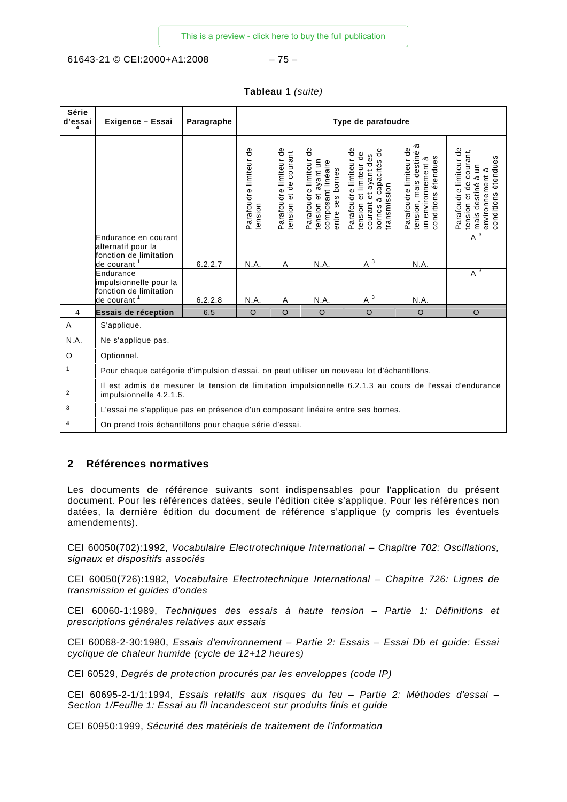<span id="page-24-0"></span>61643-21 © CEI:2000+A1:2008 – 75 –

| Série<br>d'essai<br>4 | Exigence - Essai                                                                                                                   | Paragraphe | Type de parafoudre                |                                                 |                                                                                                            |                                                                                                                                      |                                                                                                        |                                                                                                                 |  |
|-----------------------|------------------------------------------------------------------------------------------------------------------------------------|------------|-----------------------------------|-------------------------------------------------|------------------------------------------------------------------------------------------------------------|--------------------------------------------------------------------------------------------------------------------------------------|--------------------------------------------------------------------------------------------------------|-----------------------------------------------------------------------------------------------------------------|--|
|                       |                                                                                                                                    |            | Parafoudre limiteur de<br>tension | Parafoudre limiteur de<br>tension et de courant | $\frac{1}{\sigma}$<br>Parafoudre limiteur<br>tension et ayant un<br>composant linéaire<br>entre ses bornes | Parafoudre limiteur de<br>$\frac{e}{\sigma}$<br>tension et limiteur de<br>courant et ayant des<br>bornes à capacités<br>transmission | -তে<br>Parafoudre limiteur de<br>tension, mais destiné<br>étendues<br>un environnement à<br>conditions | Parafoudre limiteur de<br>tension et de courant,<br>conditions étendues<br>mais destiné à un<br>environnement à |  |
|                       | Endurance en courant<br>alternatif pour la<br>fonction de limitation<br>de courant <sup>1</sup>                                    | 6.2.2.7    | N.A.                              | Α                                               | N.A.                                                                                                       | $A^3$                                                                                                                                | N.A.                                                                                                   | $A^3$                                                                                                           |  |
|                       | Endurance<br>impulsionnelle pour la<br>fonction de limitation<br>de courant <sup>1</sup>                                           | 6.2.2.8    | N.A.                              | Α                                               | N.A.                                                                                                       | $A^3$                                                                                                                                | N.A.                                                                                                   | $A^3$                                                                                                           |  |
| 4                     | Essais de réception                                                                                                                | 6.5        | $\circ$                           | $\circ$                                         | $\circ$                                                                                                    | $\circ$                                                                                                                              | $\circ$                                                                                                | $\circ$                                                                                                         |  |
| A                     | S'applique.                                                                                                                        |            |                                   |                                                 |                                                                                                            |                                                                                                                                      |                                                                                                        |                                                                                                                 |  |
| N.A.                  | Ne s'applique pas.                                                                                                                 |            |                                   |                                                 |                                                                                                            |                                                                                                                                      |                                                                                                        |                                                                                                                 |  |
| O                     | Optionnel.                                                                                                                         |            |                                   |                                                 |                                                                                                            |                                                                                                                                      |                                                                                                        |                                                                                                                 |  |
| $\mathbf{1}$          | Pour chaque catégorie d'impulsion d'essai, on peut utiliser un nouveau lot d'échantillons.                                         |            |                                   |                                                 |                                                                                                            |                                                                                                                                      |                                                                                                        |                                                                                                                 |  |
| 2                     | Il est admis de mesurer la tension de limitation impulsionnelle 6.2.1.3 au cours de l'essai d'endurance<br>impulsionnelle 4.2.1.6. |            |                                   |                                                 |                                                                                                            |                                                                                                                                      |                                                                                                        |                                                                                                                 |  |
| 3                     | L'essai ne s'applique pas en présence d'un composant linéaire entre ses bornes.                                                    |            |                                   |                                                 |                                                                                                            |                                                                                                                                      |                                                                                                        |                                                                                                                 |  |
| 4                     | On prend trois échantillons pour chaque série d'essai.                                                                             |            |                                   |                                                 |                                                                                                            |                                                                                                                                      |                                                                                                        |                                                                                                                 |  |

#### **Tableau 1** *(suite)*

#### **2 Références normatives**

Les documents de référence suivants sont indispensables pour l'application du présent document. Pour les références datées, seule l'édition citée s'applique. Pour les références non datées, la dernière édition du document de référence s'applique (y compris les éventuels amendements).

CEI 60050(702):1992, *Vocabulaire Electrotechnique International – Chapitre 702: Oscillations, signaux et dispositifs associés*

CEI 60050(726):1982, *Vocabulaire Electrotechnique International – Chapitre 726: Lignes de transmission et guides d'ondes*

CEI 60060-1:1989, *Techniques des essais à haute tension – Partie 1: Définitions et prescriptions générales relatives aux essais*

CEI 60068-2-30:1980, *Essais d'environnement – Partie 2: Essais – Essai Db et guide: Essai cyclique de chaleur humide (cycle de 12+12 heures)*

CEI 60529, *Degrés de protection procurés par les enveloppes (code IP)*

CEI 60695-2-1/1:1994, *Essais relatifs aux risques du feu – Partie 2: Méthodes d'essai – Section 1/Feuille 1: Essai au fil incandescent sur produits finis et guide*

CEI 60950:1999, *Sécurité des matériels de traitement de l'information*